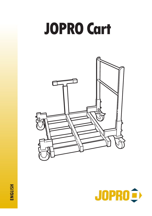# **JOPRO Cart**





**ENGLISH**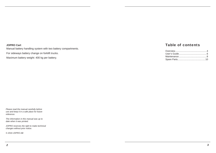#### **JOPRO Cart**

Manual battery handling system with two battery compartments.

For sideways battery change on forklift trucks.

Maximum battery weight: 400 kg per battery.

### Table of contents

*Please read the manual carefully before use and keep it in a safe place for future reference.* 

*The information in this manual was up to date when it was printed.*

*JOPRO reserves the right to make technical changes without prior notice.*

*© 2016 JOPRO AB*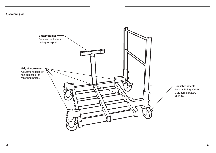## **Overview**

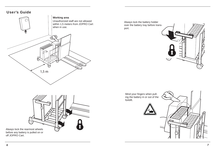



Always lock the battery holder over the battery tray before transport.





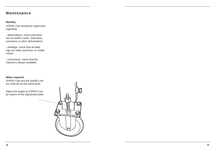## **Maintenance**

#### **Monthly**

JOPRO Cart should be supervised regarding:

- *deformations:* check that there are no visible cracks, distortions, corrosions or other deformations.

- *weldings:* check that all weldings are intact and have no visible cracks.

- *instructions:* check that the manual is always available.

#### **When required**

JOPRO Cart and the forklift's rollers must be on the same level.

Adjust the height of JOPRO Cart by means of the adjustment bolts

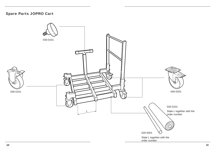## Spare Parts JOPRO Cart